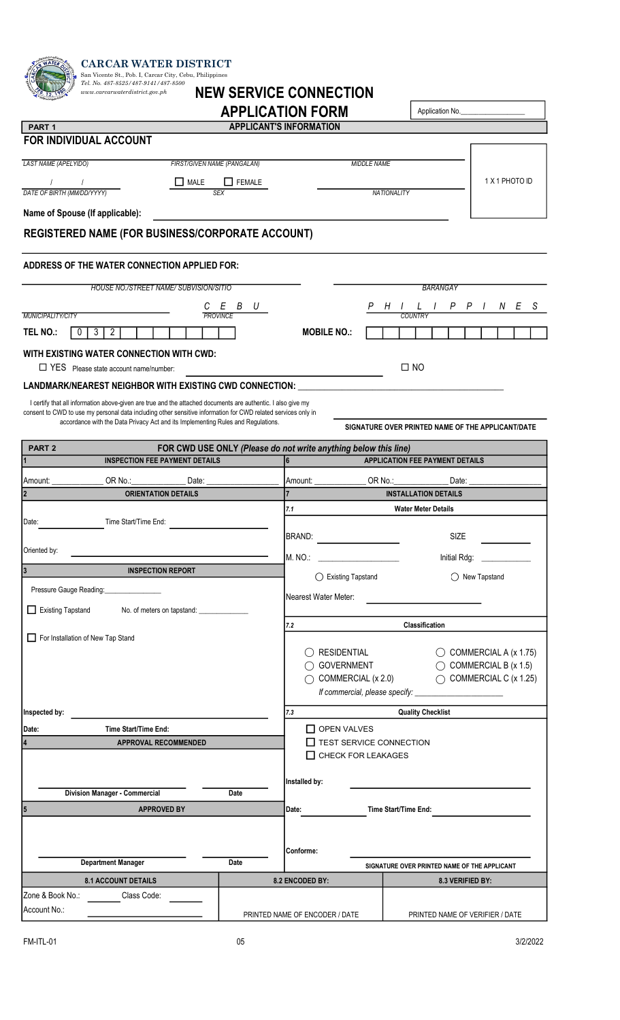| <b>CARCAR WATER DISTRICT</b><br>San Vicente St., Pob. I, Carcar City, Cebu, Philippines                                                                                                           |                             |                                                                 |                                                                  |                                  |
|---------------------------------------------------------------------------------------------------------------------------------------------------------------------------------------------------|-----------------------------|-----------------------------------------------------------------|------------------------------------------------------------------|----------------------------------|
| Tel. No. 487-8525/487-9141/487-8500<br><b>NEW SERVICE CONNECTION</b><br>www.carcarwaterdistrict.gov.ph                                                                                            |                             |                                                                 |                                                                  |                                  |
|                                                                                                                                                                                                   |                             | <b>APPLICATION FORM</b>                                         | Application No.                                                  |                                  |
| PART <sub>1</sub><br>FOR INDIVIDUAL ACCOUNT                                                                                                                                                       |                             | <b>APPLICANT'S INFORMATION</b>                                  |                                                                  |                                  |
|                                                                                                                                                                                                   |                             |                                                                 |                                                                  |                                  |
| LAST NAME (APELYIDO)                                                                                                                                                                              | FIRST/GIVEN NAME (PANGALAN) | <b>MIDDLE NAME</b>                                              |                                                                  | 1 X 1 PHOTO ID                   |
| $\Box$ MALE<br>DATE OF BIRTH (MM/DD/YYYY)                                                                                                                                                         | FEMALE<br><b>SEX</b>        |                                                                 | <b>NATIONALITY</b>                                               |                                  |
| Name of Spouse (If applicable):                                                                                                                                                                   |                             |                                                                 |                                                                  |                                  |
| REGISTERED NAME (FOR BUSINESS/CORPORATE ACCOUNT)                                                                                                                                                  |                             |                                                                 |                                                                  |                                  |
| ADDRESS OF THE WATER CONNECTION APPLIED FOR:                                                                                                                                                      |                             |                                                                 |                                                                  |                                  |
| HOUSE NO./STREET NAME/ SUBVISION/SITIO                                                                                                                                                            |                             |                                                                 | BARANGAY                                                         |                                  |
|                                                                                                                                                                                                   | Ε<br>B<br>С<br>U            | P                                                               | H                                                                | $P$ $P$ $I$<br>N E S             |
| MUNICIPALITY/CITY<br>TEL NO.:<br>$\overline{3}$<br>$\overline{2}$<br>$\mathbf 0$                                                                                                                  | <b>PROVINCE</b>             | <b>MOBILE NO.:</b>                                              | COUNTR                                                           |                                  |
|                                                                                                                                                                                                   |                             |                                                                 |                                                                  |                                  |
| WITH EXISTING WATER CONNECTION WITH CWD:<br>T YES Please state account name/number:                                                                                                               |                             |                                                                 | $\square$ NO                                                     |                                  |
| LANDMARK/NEAREST NEIGHBOR WITH EXISTING CWD CONNECTION: ____                                                                                                                                      |                             |                                                                 |                                                                  |                                  |
| I certify that all information above-given are true and the attached documents are authentic. I also give my                                                                                      |                             |                                                                 |                                                                  |                                  |
| consent to CWD to use my personal data including other sensitive information for CWD related services only in<br>accordance with the Data Privacy Act and its Implementing Rules and Regulations. |                             |                                                                 | SIGNATURE OVER PRINTED NAME OF THE APPLICANT/DATE                |                                  |
| PART <sub>2</sub>                                                                                                                                                                                 |                             | FOR CWD USE ONLY (Please do not write anything below this line) |                                                                  |                                  |
| <b>INSPECTION FEE PAYMENT DETAILS</b>                                                                                                                                                             |                             | l6                                                              | <b>APPLICATION FEE PAYMENT DETAILS</b>                           |                                  |
| OR No.<br>Amount: _                                                                                                                                                                               |                             |                                                                 |                                                                  |                                  |
|                                                                                                                                                                                                   | Data:                       | Amount:                                                         | ORNo.<br>Date:                                                   |                                  |
| <b>ORIENTATION DETAILS</b>                                                                                                                                                                        |                             |                                                                 | <b>INSTALLATION DETAILS</b>                                      |                                  |
| Time Start/Time End:<br>Date:                                                                                                                                                                     |                             | 7.1                                                             | <b>Water Meter Details</b>                                       |                                  |
|                                                                                                                                                                                                   |                             | BRAND:                                                          | SIZE                                                             |                                  |
| Oriented by:                                                                                                                                                                                      |                             | M. NO.:                                                         | Initial Rdg:                                                     |                                  |
| <b>INSPECTION REPORT</b>                                                                                                                                                                          |                             | ◯ Existing Tapstand                                             |                                                                  | ◯ New Tapstand                   |
| Pressure Gauge Reading:                                                                                                                                                                           |                             | Nearest Water Meter:                                            |                                                                  |                                  |
| Existing Tapstand<br>No. of meters on tapstand: _                                                                                                                                                 |                             |                                                                 |                                                                  |                                  |
|                                                                                                                                                                                                   |                             | 7.2                                                             | Classification                                                   |                                  |
| For Installation of New Tap Stand                                                                                                                                                                 |                             | $\bigcirc$ residential                                          |                                                                  | $\bigcirc$ COMMERCIAL A (x 1.75) |
|                                                                                                                                                                                                   |                             | ○ GOVERNMENT                                                    |                                                                  | $\bigcirc$ COMMERCIAL B (x 1.5)  |
|                                                                                                                                                                                                   |                             | $\bigcirc$ COMMERCIAL (x 2.0)                                   |                                                                  | $\bigcirc$ COMMERCIAL C (x 1.25) |
|                                                                                                                                                                                                   |                             | 7.3                                                             |                                                                  |                                  |
| Inspected by:<br>Time Start/Time End:<br>Date:                                                                                                                                                    |                             | OPEN VALVES                                                     | <b>Quality Checklist</b>                                         |                                  |
| APPROVAL RECOMMENDED                                                                                                                                                                              |                             | TEST SERVICE CONNECTION                                         |                                                                  |                                  |
|                                                                                                                                                                                                   |                             | CHECK FOR LEAKAGES                                              |                                                                  |                                  |
|                                                                                                                                                                                                   |                             | Installed by:                                                   |                                                                  |                                  |
| <b>Division Manager - Commercial</b>                                                                                                                                                              | Date                        |                                                                 |                                                                  |                                  |
| <b>APPROVED BY</b>                                                                                                                                                                                |                             | Date:                                                           | Time Start/Time End:                                             |                                  |
|                                                                                                                                                                                                   |                             |                                                                 |                                                                  |                                  |
| 5                                                                                                                                                                                                 |                             | Conforme:                                                       |                                                                  |                                  |
| <b>Department Manager</b><br><b>8.1 ACCOUNT DETAILS</b>                                                                                                                                           | Date                        | 8.2 ENCODED BY:                                                 | SIGNATURE OVER PRINTED NAME OF THE APPLICANT<br>8.3 VERIFIED BY: |                                  |

Account No.:

PRINTED NAME OF ENCODER / DATE

PRINTED NAME OF VERIFIER / DATE